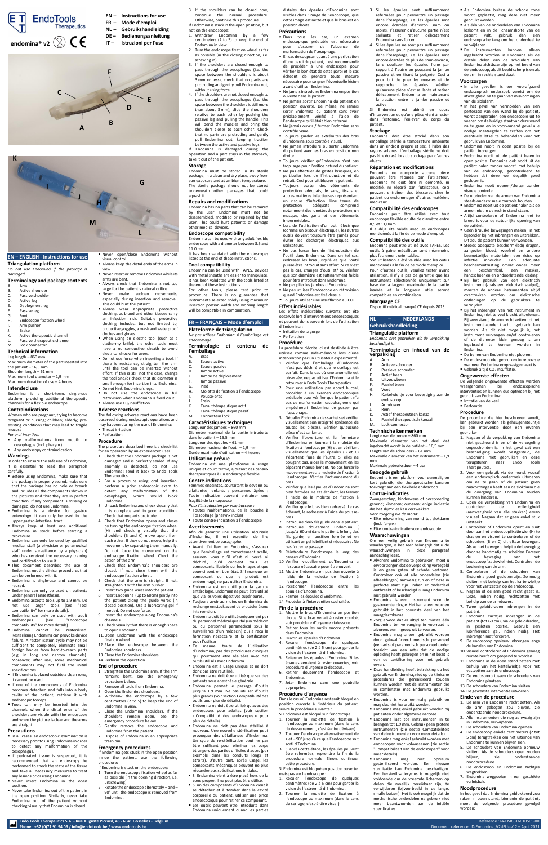**Endo Tools Therapeutics S.A. - Rue Auguste Piccard, 48 - 6041 Gosselies - Belgium** Reference : IA-EM8616610505-00 **Phone : +32 (0)71 91 94 09 [/ info@endotools.be](mailto:info@endotools.be) [/ www.endotools.be](http://www.endotools.be/)** Document reference : D-Endomina\_V2-IFU--v12 – April 2021

# **EN – ENGLISH - Instructions for use**

**Triangulation platform**

*Do not use Endomina if the package is damaged*

### **Terminology and package contents**

- A. Arm<br>B. Activ
- B. Active shoulder<br>C. Passive shoulde
- C. Passive shoulder<br>D. Active leg
- D. Active leg<br>E. Deployme E. Deployment leg<br>F. Passive leg
- 
- F. Passive leg
- G. Foot<br>H. Endo Endoscope fixation wheel
- I. Arm pusher
- **Brake** K. Active therapeutic channel
- Passive therapeutic channel M. Lock connector

- the patient  $-16,5$  mm Shoulder length – 61 mm Maximum tool diameter  $-1.9$  mm
- Maximum duration of use 4 hours

- *For oral insertion:* Any malformations from mouth to
- oesophagus (incl. pharynx) Any endoscopy contraindication

# **Technical information**

Leg length – 860 mm Maximum diameter of the part inserted into

**E** Before using Endomina, make sure that the package is properly sealed, make sure that the package has no hole or breach and includes all the components shown in the pictures and that they are in perfect

- **E** Never open/close Endomina without visual control.
- Always keep the distal ends of the arms in view.
- Never insert or remove Endomina while its arms are bent.
- Always check that Endomina is not too large for the patient's natural orifice.
- **E** Never make sudden movements, especially during insertion and removal.
- This could hurt the patient. **E** Always wear appropriate protective clothing, as blood and other tissues carry an infection risk. Suitable protective clothing includes, but not limited to, protective goggles, a mask and waterproof
- clothes and gloves. ▪ When using an electric tool (such as a diathermy knife), the other tools must have a nonconductive sheath to avoid electrical shocks for users.
- Do not use force when inserting a tool. If there is resistance, straighten the arm until the tool can be inserted without effort. If this is still not the case, change the tool and/or check that its diameter is small enough for insertion into Endomina.
- Do not kink Endomina's legs.
- Do not use the endoscope in full retrovision when Endomina is fixed on it.
- **E** Always use CO<sub>2</sub> insufflation.
- **Adverse reactions** The following adverse reactions have been
- observed during endoscopic operations and may happen during the use of Endomina: **·** Throat irritation ■ Perforation

# **Intended use**

Endomina is a short-term, single-use platform providing additional therapeutic channels for a flexible endoscope.

# **Contraindications**

Women who are pregnant, trying to become pregnant or nursing; children; elderly; preexisting conditions that may lead to fragile mucosa

# **Warnings**

In order to ensure the safe use of Endomina, it is essential to read this paragraph carefully.

- **· In all cases, an endoscopic examination is** necessary prior to using Endomina in order to detect any malformation of the oesophagus.
- If perforated tissue is suspected, it is recommended that an endoscopy be performed to check the state of the tissue and take all necessary measures to treat any lesions prior using Endomina.
- Never insert Endomina in the open position.
- Never take Endomina out of the patient in the open position. Similarly, never take Endomina out of the patient without checking visually that Endomina is closed.
- condition. If any component is missing or damaged, do not use Endomina.
- Endomina is a device for gastroenterology. It can only be used in the upper gastro-intestinal tract.
- **E** Always keep at least one additional Endomina in stock before starting a procedure.
- **Endomina can only be used by qualified** medical staff (a physician or paramedical staff under surveillance by a physician) who has received the necessary training and certification to use it.
- This document describes the use of Endomina, not the clinical procedures that can be performed with it.
- Endomina is single-use and cannot be reused.
- **Endomina can only be used on patients** under general anaesthesia.
- Endomina accepts tools up to 1.9 mm. Do not use larger tools (see "Tool compatibility" for more details).
- **Endomina can only be used with adult** endoscopes (see "Endoscope compatibility" for more details).
- Endomina cannot be resterilised. Resterilising Endomina can provoke device failure. A resterilisation cycle may not be sufficient to completely eliminate small foreign bodies from hard-to-reach parts (e.g. in long and narrow channels). Moreover, after use, some mechanical components may not fulfil the initial specifications.
- **If Endomina is placed outside a clean zone,** it cannot be used.
- **.** If one of the components of Endomina becomes detached and falls into a body cavity of the patient, retrieve it with endoscopic forceps.
- **"** Tools can only be inserted into the channels when the distal ends of the shoulders are visible with the endoscope and when the picture is clear and the arms are straight.
- 1. Check that the Endomina package is not damaged and is perfectly sealed. If any anomaly is detected, do not use Endomina; send it back to Endo Tools Therapeutics.
- 2. For a procedure using oral insertion, perform a prior endoscopic exam to detect any malformation of the sophagus, which would block

### **Precautions**

# **Procedure**

The procedure described here is a check-list for an operation by an experienced user.

Endomina. 3. Unpack Endomina and check visually that

> ■ Endomina doit être utilisé uniquement par du personnel médical qualifié (un médecin ou du personnel paramédical sous la surveillance d'un médecin) qui a reçu la formation nécessaire et la certification

- it is complete and in good condition. Check that no parts protrude.
- 4. Check that Endomina opens and closes by turning the endoscope fixation wheel (H) and checking visually that the shoulders (B and C) move apart from each other. If they do not move, help the movement by separating them manually. Do not force the movement on the endoscope fixation wheel. Check the action of the arm.
- 5. Check that Endomina's shoulders are closed. If not, close them with the endoscope fixation wheel.
- 6. Check that the arm is straight. If not, straighten it with the arm pusher.
- 7. Insert two guide wires into the patient. 8. Insert Endomina (up to 60cm) gently into the patient along the guide wires (in
- closed position). Use a lubricating gel if needed. Do not use force. 9. Insert the endoscope along Endomina's
- channels. 10. Check visually that there is enough space
- to open Endomina. 11.Open Endomina with the endoscope
- fixation wheel. 12. Place the endoscope between the
- Endomina shoulders. 13. Close the Endomina shoulders.
- 14. Perform the operation.

# **End of procedure**

- 1. Straighten the Endomina arm. If the arm remains bent, see the emergency procedure below.
- 2. Remove all tools from Endomina.
- Open the Endomina shoulders.
- Withdraw the endoscope by a few centimetres (2 to 5) to keep the end of Endomina in view.
- 5. Close the Endomina shoulders. If the shoulders remain open, see the emergency procedure below.
- 6. Gently remove the endoscope and Endomina from the patient.
- 7. Dispose of Endomina in an appropriate trash bin.

### **Emergency procedures**

If Endomina gets stuck in the open position inside the patient, use the following procedure:

If Endomina is stuck on the endoscope:

- 1. Turn the endoscope fixation wheel as far as possible (in the opening direction, i.e. unscrewing)
- 2. Rotate the endoscope alternately + and 90° until the endoscope is removed from Endomina.

l'outil dans Endomina. Dans un tel cas, redresser les bras jusqu'à ce que l'outil puisse être introduit sans effort. Si ce n'est pas le cas, changer d'outil et/ ou vérifier que son diamètre est suffisamment faible pour être introduit dans Endomina. ▪ Ne pas plier les jambes d'Endomina. ▪ Ne pas utiliser l'endoscope en rétrovision quand Endomina est fixé dessus. **Toujours utiliser une insufflation au CO<sub>2</sub>**.

- 3. If the shoulders can be closed now, continue the normal procedure. Otherwise, continue this procedure.
- If Endomina is stuck in the open position, but not on the endoscope:
- 1. Withdraw Endomina by a few centimeters (2 to 5) to keep the end of Endomina in view.
- 2. Turn the endoscope fixation wheel as far as possible (in the closing direction, i.e. screwing in).
- 3. If the shoulders are closed enough to pass through the oesophagus (i.e. the space between the shoulders is about 3 mm or less), check that no parts are protruding and gently pull Endomina out, without using force.
- 4. If the shoulders are not closed enough to pass through the oesophagus (i.e. the space between the shoulders is still more than about 3 mm), slide the shoulders relative to each other by pushing the passive leg and pulling the handle. This will bend the muscles and bring the shoulders closer to each other. Check that no parts are protruding and gently pull Endomina out, keeping traction between the active and passive legs.
- If Endomina is damaged during the operation and a part stays in the stomach, take it out of the patient.

### **Storage**

Endomina must be stored in its sterile package, in a clean and dry place, away from sun exposure and at ambient temperature. The sterile package should not be stored underneath other packages that could squash it.

### **Repairs and modifications**

Endomina has no parts that can be repaired by the user. Endomina must not be disassembled, modified or repaired by the user. This could hurt patients or damage other medical devices.

### **Endoscope compatibility**

Endomina can be used with any adult flexible endoscope with a diameter between 8.5 and 11.0 mm.

It has been validated with the endoscopes listed at the end of these instructions.

# **Tool compatibility**

Endomina can be used with TAPES. Devices with metal sheaths are easier to manipulate. It has been validated with the tools listed at the end of these instructions.

For other tools, please test prior to procedure. There is no guarantee that instruments selected solely using maximum insertion portion width and working length will be compatible in combination.

### **FR – FRANÇAIS – Mode d'emploi**

**Plateforme de triangulation** *Ne pas utiliser Endomina si l'emballage est* 

### *endommagé.* **Terminologie et contenu de l'emballage**

- A. Bras
- B. Epaule active
- C. Epaule passive
- D. Jambe active
- E. Jambe de déploiement
- F. Jambe passive
- G. Pied H. Molette de fixation à l'endoscope
- Pousse-bras
- **Frein**
- K. Canal thérapeutique actif
- Canal thérapeutique passif
- M. Connecteur lock

### **Caractéristiques techniques** Longueur des jambes – 860 mm Diamètre maximal de la partie introduite dans le patient – 16,5 mm Longueur des épaules – 61 mm

Diamètre maximal de l'outil – 1,9 mm Durée maximale d'utilisation – 4 heures **Utilisation prévue**

Endomina est une plateforme à usage unique et court terme, ajoutant des canaux thérapeutiques à un endoscope flexible.

### **Contre-indications**

Femmes enceintes, souhaitant le devenir ou allaitantes; enfants ; personnes âgées ; Toute indication pouvant entrainer une

**verpakking** A. Arm<br>B. Actie

Actieve schouder C. Passieve schouder D. Actief been E. Uitvouwbeen F. Passief been G. Voet

> endoscoop **Armduwer** Rem

**Avertissements**

Afin de garantir une utilisation sécurisée d'Endomina, il est essentiel de lire

attentivement ce paragraphe.

▪ Avant d'utiliser un Endomina, s'assurer que l'emballage est correctement scellé, assurez- vous qu'il n'est ni percé ni déchiré , qu'il contient tous les composants illustrés sur les images et que ceux-ci sont en bon état. S'il manque un composant ou que le produit est endommagé, ne pas utiliser Endomina. ▪ Endomina est un outil pour la gastroentérologie. Endomina ne peut être utilisé que via les voies digestives supérieures. ▪ Toujours avoir au moins un Endomina de rechange en stock avant de procéder à une

intervention.

pour l'utiliser.

▪ Ce manuel traite de l'utilisation d'Endomina, pas des procédures cliniques qui pourraient être réalisées avec des

■ Endomina est à usage unique et ne doit

outils utilisés avec Endomina.

donc pas être réutilisé.

▪ Endomina ne doit être utilisé que sur des patients sous anesthésie générale. ▪ Endomina permet le passage d'outils jusqu'à 1.9 mm. Ne pas utiliser d'outils plus grands (voir sectio[n Compatibilité des](#page-0-0) 

[outils](#page-0-0) pour plus de détails).

**E** Als één van de onderdelen van Endomina loskomt en in de lichaamsholte van de patiënt valt, gebruik dan een endoscopische tang om het onderdeel te

▪ Endomina ne doit être utilisé qu'avec des endoscopes pour adultes (voir section « [Compatibilité des endoscopes](#page-0-1) » pour

plus de détails).

▪ Endomina ne doit pas être stérilisé à nouveau. Une nouvelle stérilisation peut provoquer des défaillances d'Endomina. Un cycle de re-stérilisation peut ne pas être suffisant pour éliminer les corps étrangers des parties difficiles d'accès (par exemple dans les conduits longs et étroits). D'autre part, après usage, les composants mécaniques peuvent ne plus répondre aux spécifications initiales. ▪ Si Endomina vient à être placé hors de la zone propre, il ne peut plus être utilisé. ▪ Si un des composants d'Endomina vient à se détacher et à tomber dans la cavité corporelle du patient, utiliser une pince

distales des épaules d'Endomina sont visibles dans l'image de l'endoscope, que cette image est nette et que le bras est en position droite.

### **Précautions**

- **Dans** tous les cas, un examen endoscopique préalable est nécessaire pour s'assurer de l'absence de malformation de l'œsophage.
- En cas de soupçon quant à une perforation d'une paroi du patient, il est recommandé de procéder à une endoscopie pour vérifier le bon état de cette paroi et le cas échéant de prendre toute mesure nécessaire pour soigner l'éventuelle lésion avant d'utiliser Endomina.
- Ne jamais introduire Endomina en position ouverte dans le patient.
- Ne jamais sortir Endomina du patient en position ouverte. De même, ne jamais sortir Endomina du patient sans avoir préalablement vérifié à l'aide de l'endoscope qu'il était bien refermé.
- Ne jamais ouvrir / fermer Endomina sans contrôle visuel.
- Toujours garder les extrémités des bras d'Endomina sous contrôle visuel.
- Ne jamais introduire ou sortir Endomina du patient avec les bras en position non droite.
- Toujours vérifier qu'Endomina n'est pas trop large pour l'orifice naturel du patient. ▪ Ne pas effectuer de gestes brusques, en
- particulier lors de l'introduction et du retrait. Ceci pourrait blesser le patient.
- Toujours porter des vêtements de protection adéquats, le sang, tissus et autres matières infectieuses représentant un risque d'infection. Une tenue de protection adéquate comprend notamment des lunettes de protection, un masque, des gants et des vêtements imperméables.
- **· Lors de l'utilisation d'un outil électrique** (comme un bistouri électrique), les autres outils doivent toujours être gainés pour éviter les décharges électriques aux utilisateurs. Ne pas forcer lors de l'introduction de

**• Gebruik altijd CO<sub>2</sub> insufflatie. Ongewenste effecten**

- fragilité de la muqueuse *Pour l'introduction par voie buccale :* à l'aide de la molette de fixation à l'endoscope.
- Toutes malformations, de la bouche à l'œsophage (pharynx inclus) ■ Toute contre-indication à l'endoscopie 6. Vérifier que le bras bien redressé. Le cas échéant, le redresser à l'aide du poussebras.
	- 7. Introduire deux fils guide dans le patient. 8. Introduire doucement Endomina jusqu'à 60cm) dans le patient, le long des fils guide, en position fermée et en utilisant un gel lubrifiant si nécessaire. Ne pas forcer le passage.
	- 9. Réintroduire l'endoscope le long des canaux d'Endomina. 10. Vérifier visuellement qu'Endomina a
	- l'espace nécessaire pour être ouvert. 11. Mettre Endomina en position ouverte à l'aide de la molette de fixation à l'endoscope.
	- 12. Positionner l'endoscope entre les épaules d'Endomina.
	- 13. Fermer les épaules d'Endomina. 14. Procéder à l'intervention souhaitée.

**Effets indésirables**

Les effets indésirables suivants ont été observés lors d'interventions endoscopiques et peuvent donc survenir lors de l'utilisation

d'Endomina : **·** Irritation de la gorge ■ Perforation **Procédure**

La procédure décrite ici est destinée à être utilisée comme aide-mémoire lors d'une intervention par un utilisateur expérimenté. 1. Vérifier que l'emballage d'Endomina n'est pas déchiré et que le scellage est parfait. Dans le cas où une anomalie est observée, ne pas utiliser l'Endomina et le retourner à Endo Tools Therapeutics. 2. Pour une utilisation par abord buccal, procéder à un examen endoscopique préalable pour vérifier que le patient n'a pas de malformation œsophagienne qui empêcherait Endomina de passer par

- 2. Tourner la molette de fixation à l'endoscope au maximum (dans le sens du serrage, c'est-à-dire visser)
- endoscopique pour retirer ce composant. ■ Les outils peuvent être introduits dans Endomina uniquement quand les parties

l'œsophage.

3. Déballer Endomina des sachets et vérifier visuellement son intégrité (présence de toutes les pièces). Vérifier qu'aucune

pièce n'est saillante.

4. Vérifier l'ouverture et la fermeture d'Endomina en tournant la molette de fixation à l'endoscope (H) et en vérifiant visuellement que les épaules (B et C) s'écartent l'une de l'autre. Si elles ne bougent pas, aider le mouvement en les séparant manuellement. Ne pas forcer le mouvement avec la molette de fixation à l'endoscope. Vérifier l'actionnement du

bras.

5. Vérifier que les épaules d'Endomina sont bien fermées. Le cas échéant, les fermer

### **Fin de la procédure**

- 1. Mettre le bras d'Endomina en position droite. Si le bras venait à rester courbé, voir procédure d'urgence ci-dessous.
- 2. Retirer tous les outils encore présents dans Endomina.
	- 3. Ouvrir les épaules d'Endomina.
	- 4. Reculer l'endoscope de quelques centimètres (de 2 à 5 cm) pour garder la vision de l'extrémité d'Endomina.
	- 5. Refermer les épaules d'Endomina. Si les épaules venaient à rester ouvertes, voir procédure d'urgence ci-dessous.
	- 6. Retirer doucement l'endoscope et Endomina.
- 7. Jeter Endomina dans une poubelle appropriée.

### **Procédure d'urgence**

Dans le cas où Endomina resterait bloqué en position ouverte à l'intérieur du patient, suivre la procédure suivante :

- Si Endomina est bloqué sur l'endoscope 1. Tourner la molette de fixation à
- l'endoscope au maximum (dans le sens du desserrement, c'est-à-dire dévisser). 2. Torquer l'endoscope alternativement de + et – 90° jusqu'à ce que l'endoscope soit
- sorti d'Endomina. 3. Si après cette étape, les épaules peuvent être refermées, reprendre la fin de la procédure normale. Sinon, continuer cette procédure.
- Si Endomina est bloqué en position ouverte, mais pas sur l'endoscope :
- 1. Reculer l'endoscope de quelques centimètres (de 2 à 5 cm) pour garder la vision de l'extrémité d'Endomina.

3. Si les épaules sont suffisamment refermées pour permettre un passage dans l'œsophage, i.e. les épaules sont encore écartées d'environ 3mm ou moins, s'assurer qu'aucune partie n'est saillante et retirer délicatement

Endomina sans forcer

4. Si les épaules ne sont pas suffisamment refermées pour permettre un passage dans l'œsophage, i.e. les épaules sont encore écartées de plus de 3mm environ, faire coulisser les épaules l'une par rapport à l'autre en poussant la jambe passive et en tirant la poignée. Ceci a pour but de plier les muscles et de rapprocher les épaules. Vérifier qu'aucune pièce n'est saillante et retirer délicatement Endomina en maintenant la traction entre la jambe passive et

active.

Si Endomina est abimé en cours d'intervention et qu'une pièce vient à rester dans l'estomac, l'enlever du corps du

patient. **Stockage**

Endomina doit être stocké dans son emballage stérile à température ambiante dans un endroit propre et sec, à l'abri des rayons solaires. L'emballage stérile ne doit pas être écrasé lors du stockage par d'autres

objets.

**Réparation et modifications** Endomina ne comporte aucune pièce pouvant être réparée par l'utilisateur. Endomina ne doit être ni démonté, ni modifié, ni réparé par l'utilisateur, ceci pouvant entraîner des blessures chez le patient ou endommager d'autres matériels

médicaux.

<span id="page-0-1"></span>**Compatibilité des endoscopes** Endomina peut être utilisé avec tout endoscope flexible adulte de diamètre entre

8,5 et 11,0mm.

Il a déjà été validé avec les endoscopes mentionnés à la fin de ce mode d'emploi.

<span id="page-0-0"></span>**Compatibilité des outils**

Endomina peut être utilisé avec TAPES. Les outils à gaine métallique sont néanmoins

plus facilement orientables.

Son utilisation a été validée avec les outils mentionnés à la fin de ce mode d'emploi. Pour d'autres outils, veuillez tester avant utilisation. Il n'y a pas de garantie que les instruments sélectionnés uniquement sur base de la largeur maximale de la partie insérée et la longueur utile seront

compatibles en combinaison.

**Marquage CE**

Dispositif médical marqué CE depuis 2015.

**NL – NEDERLANDS –**

**Gebruikshandleiding Triangulatie platform**

*Endomina niet gebruiken als de verpakking* 

*beschadigd is.*

**Terminologie en inhoud van de** 

H. Kartelwieltje voor bevestiging aan de

Actief therapeutisch kanaal Passief therapeutisch kanaal

M. Lock-connector **Technische kenmerken** Lengte van de benen – 860 mm

Maximale diameter van het deel dat ingebracht wordt in de patiënt – 16,5 mm Lengte van de schouders – 61 mm Maximale diameter van het instrument – 1,9

mm

Maximale gebruiksduur – 4 uur **Beoogde gebruik**

Endomina is een platform voor eenmalig en kort gebruik, die therapeutische kanalen toevoegt aan een flexibele endoscoop.

**Contra-indicaties** Zwangerschap, kinderwens of borstvoeding gevend; kinderen; ouderen; enige indicatie die het slijmvlies kan verzwakken *Voor toegang via de mond:*

- **Elke misvorming van mond tot slokdarm** (incl. farynx)
- **Elke contra-indicatie voor endoscopie**

### **Waarschuwingen**

Om een veilig gebruik van Endomina te waarborgen, is het zeer belangrijk dat u de waarschuwingen in deze paragraaf aandachtig leest.

- Alvorens Endomina te gebruiken, moet u ervoor zorgen dat de verpakking verzegeld is en geen gaten of schade vertoont. Controleer ook of alle onderdelen (zie afbeeldingen) aanwezig zijn en of deze in perfecte staat zijn. Indien er onderdeel ontbreekt of beschadigd is, mag Endomina niet gebruikt worden.
- Endomina is een instrument voor de gastro-enterologie. Het kan alleen worden gebruikt in het bovenste deel van het maagdarmkanaal.
- Zorg ervoor dat er altijd ten minste één Endomina ter vervanging in voorraad is alvorens een ingreep uit te voeren.
- Endomina mag alleen gebruikt worden door gekwalificeerd medisch personeel (een arts of paramedisch personeel onder toezicht van een arts) dat de nodige opleiding heeft gekregen en in het bezit is van de certificering voor het gebruik ervan.
	- Deze handleiding heeft betrekking op het gebruik van Endomina, niet op de klinische procedures die gerealiseerd zouden kunnen worden met de instrumenten die in combinatie met Endomina gebruikt worden.
- Endomina is voor eenmalig gebruik en mag dus niet herbruikt worden.
- Endomina mag enkel gebruikt worden bij patiënten onder algemene narcose.
- Endomina laat toe instrumenten in te brengen tot 1.9 mm. Gebruik geen grotere instrumenten (zie sectie Compatibiliteit van de instrumenten voor meer details).
- Endomina mag enkel gebruikt worden met endoscopen voor volwassenen (zie sectie "Compatibiliteit van de endoscopen" voor meer details).
- Endomina mag niet opnieuw gesteriliseerd worden. Een nieuwe sterilisatie kan Endomina beschadigen. Een hersterilisatiecyclus is mogelijk niet voldoende om de vreemde lichamen op delen die moeilijk bereikbaar zijn, te verwijderen (bijvoorbeeld in de lange, smalle buizen). Het is ook mogelijk dat de mechanische onderdelen na gebruik niet meer beantwoorden aan de initiële specificaties.

▪ Als Endomina buiten de schone zone wordt geplaatst, mag deze niet meer

gebruikt worden.

verwijderen.

▪ De instrumenten kunnen alleen ingebracht worden in Endomina als de distale delen van de schouders van Endomina zichtbaar zijn op het beeld van de endoscoop, als dit beeld scherp is en als

de arm in rechte stand staat.

**Voorzorgen**

▪ In alle gevallen is een voorafgaand endoscopisch onderzoek vereist om de afwezigheid na te gaan van misvormingen

van de slokdarm.

▪ In het geval van vermoeden van een perforatie van een wand bij de patiënt, wordt aangeraden een endoscopie uit te voeren om de huidige staat van deze wand na te gaan en in voorkomend geval alle nodige maatregelen te treffen om het eventuele letsel te behandelen voor het

gebruik van Endomina.

▪ Endomina nooit in open positie bij de

patiënt inbrengen.

▪ Endomina nooit uit de patiënt halen in open positie. Endomina ook nooit uit de patiënt halen zonder vooraf, met behulp van de endoscoop, gecontroleerd te hebben dat deze wel degelijk goed

**Endomina nooit openen/sluiten zonder** 

gesloten is.

visuele controle.

▪ De uiteinden van de armen van Endomina steeds onder visuele controle houden. ▪ Endomina nooit uit de patiënt halen als de armen niet in de rechte stand staan. ▪ Altijd controleren of Endomina niet te breed is voor de natuurlijke opening van

de patiënt.

▪ Geen bruuske bewegingen maken, in het bijzonder bij het inbrengen en uittrekken. Dit zou de patiënt kunnen verwonden. ▪ Steeds adequate beschermkledij dragen, aangezien bloed, weefsel en andere besmettelijke materialen een risico op infectie inhouden. Een adequate beschermuitrusting omvat onder meer een beschermbril, een masker, handschoenen en ondoorlatende kleding. ▪ Bij het gebruik van een elektrisch instrument (zoals een elektrisch scalpel), moeten de andere instrumenten altijd overtrokken worden om elektrische ontladingen op de gebruikers te

vermijden.

▪ Bij het inbrengen van het instrument in Endomina, niet te veel kracht uitoefenen. Bij weerstand, de arm recht zetten tot het instrument zonder kracht ingebracht kan worden. Als dit niet mogelijk is, het instrument vervangen en/of controleren of de diameter klein genoeg is om ingebracht te kunnen worden in

Endomina.

▪ De benen van Endomina niet plooien. **• De endoscoop niet gebruiken in retrovisie** wanneer Endomina erop vastgemaakt is.

De volgende ongewenste effecten werden waargenomen bij endoscopische interventies en kunnen dus optreden bij het

gebruik van Endomina: ▪ Irritatie van de keel ▪ Perforatie **Procedure**

De procedure die hier beschreven wordt, kan gebruikt worden als geheugensteuntje bij een interventie door een ervaren

gebruiker.

1. Nagaan of de verpakking van Endomina niet gescheurd is en of de verzegeling ongeschonden is. In het geval dat een beschadiging wordt vastgesteld, de Endomina niet gebruiken en deze terugsturen naar Endo Tools

Therapeutics.

2. Voor een gebruik via de mond, vooraf een endoscopisch onderzoek uitvoeren om na te gaan of de patiënt geen misvormingen heeft aan de slokdarm die de doorgang van Endomina zouden

- kunnen hinderen.
	- 3. Open de verpakking van Endomina en controleer de volledigheid (aanwezigheid van alle stukken) ervan visueel. Nagaan dat er geen enkel stuk uitsteekt.
	- 4. Controleer of Endomina opent en sluit door aan het endoscoopfixatiewiel (H) te draaien en visueel te controleren of de schouders (B en C) uit elkaar bewegen. Als ze niet bewegen, helpt u de beweging door ze handmatig te scheiden Forceer de beweging van het endoscoopfixatiewiel niet. Controleer de bediening van de arm.
	- 5. Controleren of de schouders van Endomina goed gesloten zijn. Zo nodig sluiten met behulp van het kartelwieltje voor het vastzetten op de endoscoop.
	- 6. Nagaan of de arm goed recht gezet is. Deze, indien nodig, rechtzetten met behulp van de armduwer.
	- 7. Twee geleiddraden inbrengen in de patiënt.
	- 8. Endomina zachtjes inbrengen in de patiënt (tot 60 cm), via de geleiddraden, in gesloten positie. Gebruik een lubrifiërende gel, indien nodig. Het inbrengen niet forceren.
- 9. De endoscoop opnieuw inbrengen langs de kanalen van Endomina.
- 10. Visueel controleren of Endomina genoeg ruimte heeft om geopend te worden.
- 11. Endomina in de open stand zetten met behulp van het kartelwieltje voor het vastzetten aan de endoscoop.
- 12. De endoscoop tussen de schouders van Endomina plaatsen.
- 13. De schouders van Endomina sluiten.
- 14. De gewenste interventie uitvoeren.

# **Einde van de procedure**

- 1. De arm van Endomina recht zetten. Als de arm gebogen zou blijven, zie onderstaande noodprocedure.
- 2. Alle instrumenten die nog aanwezig zijn in Endomina, verwijderen.
- 3. De schouders van Endomina openen.
- 4. De endoscoop enkele centimeters (2 tot 5 cm) terugtrekken om het uiteinde van Endomina te kunnen blijven zien. 5. De schouders van Endomina opnieuw

sluiten. Als de schouders open zouden blijven, zie onderstaande

noodprocedure.

6. De endoscoop en Endomina zachtjes

wegtrekken.

7. Endomina weggooien in een geschikte

vuilnisbak. **Noodprocedure**

In het geval dat Endomina geblokkeerd zou raken in open stand, binnenin de patiënt, moet de volgende procedure gevolgd

worden:

# **EndoTools Therapeutics** endomina® **v2**  $\bigotimes$   $\bigotimes$   $\bigotimes$

**EN – Instructions for use FR – Mode d'emploi NL – Gebruikshandleiding**

**DE – Bedienungsanleitung IT – Istruzioni per l'uso**



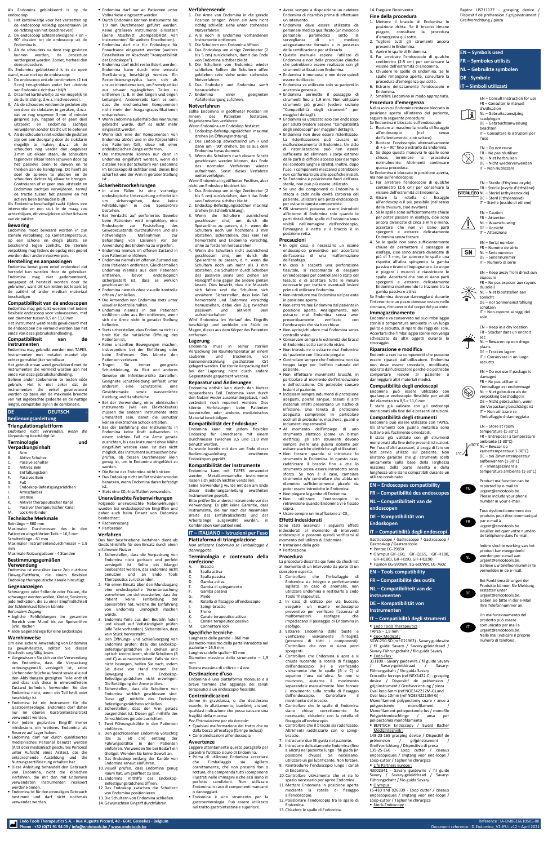**Endo Tools Therapeutics S.A. - Rue Auguste Piccard, 48 - 6041 Gosselies - Belgium** Reference : IA-EM8616610505-00

Als Endomina geblokkeerd is op de endoscoop

- 1. Het kartelwieltie voor het vastzetten op de endoscoop volledig opendraaien (in de richting van het losschroeven).
- 2. De endoscoop achtereenvolgens + en 90° draaien tot de endoscoop uit de Endomina is.
- 3. Als de schouders na deze stap gesloten kunnen worden, de procedure verdergezet worden. Zoniet, herhaal dan deze procedure.

Als Endomina geblokkeerd is in de open stand, maar niet op de endoscoop:

- 1. De endoscoop enkele centimeters (2 tot 5 cm) terugtrekken zodat het uiteinde van Endomina zichtbaar blijft.
- 2. Draai het kartelwieltje zo ver mogelijk (in de sluitrichting, d.w.z. inschroevend).
- 3. Als de schouders voldoende gesloten zijn om door de slokdarm te geraken, d.w.z. dat ze nog ongeveer 3 mm of minder gespreid zijn, nagaan of er geen deel uitsteekt en Endomina zachtjes verwijderen zonder kracht uit te oefenen
- 4. Als de schouders niet voldoende gesloten zijn om een doorgang door de slokdarm mogelijk te maken, d.w.z. als de schouders nog verder dan ongeveer 3 mm uit elkaar staan, de schouders tegenover elkaar laten schuiven door op het passieve been te duwen en te trekken aan de handgreep. Dit heeft als doel de spieren te plooien en de schouders dichter bij elkaar te brengen. Controleren of er geen stuk uitsteekt en Endomina zachtjes verwijderen, terwijl de tractie tussen het passieve en het actieve been behouden blijft.

Als Endomina beschadigd raakt tijdens een interventie en een stuk in de maag zou achterblijven, dit verwijderen uit het lichaam van de patiënt.

- **Bremse**
- K. Aktiver therapeutischer Kanal
- Passiver therapeutischer Kanal
- M. Lock-Verbinder

# **Bewaring**

Endomina moet bewaard worden in zijn steriele verpakking, op kamertemperatuur, op een schone en droge plaats, en beschermd tegen zonlicht. De steriele verpakking mag tijdens de opslag niet geplet worden door andere voorwerpen.

### **Herstelling en aanpassingen**

Endomina bevat geen enkel onderdeel dat hersteld kan worden door de gebruiker. Endomina mag niet gedemonteerd, aangepast of hersteld worden door de gebruiker, want dit kan leiden tot letsels bij de patiënt of ander medisch materiaal beschadigen.

### **Compatibiliteit van de endoscopen**

Endomina mag gebruikt worden met iedere flexibele endoscoop voor volwassenen, met een diameter tussen 8,5 en 11,0 mm. Het instrument werd reeds gevalideerd met

de endoscopen die vermeld worden aan het einde van deze gebruikshandleiding. **Compatibiliteit van de** 

# **instrumenten**

Endomina mag gebruikt worden met TAPES. Instrumenten met metalen mantel zijn echter gemakkelijker wendbaar.

- Vergewissern Sie sich vor der Verwendung des Endomina, dass die Verpackung ordnungsgemäß versiegelt ist, keine Löcher oder Brüche aufweist sowie alle auf den Abbildungen gezeigten Teile enthält und dass sich diese in einwandfreiem Zustand befinden. Verwenden Sie den Endomina nicht, wenn ein Teil fehlt oder beschädigt ist.
- Endomina ist ein Instrument für die Gastroenterologie. Endomina darf daher nur im oberen Gastrointestinaltrakt verwendet werden.
- Vor jedem geplanten Eingriff immer mindestens ein weiteres Endomina als Reserve auf Lager haben.
- Endomina darf nur durch qualifiziertes medizinisches Personal benutzt werden (Arzt oder medizinisch geschultes Personal unter Aufsicht eines Arztes), das die entsprechende Ausbildung und die Nutzungszertifizierung erhalten hat.
- Diese Anleitung behandelt den Gebrauch von Endomina, nicht die klinischen Verfahren, die mit den mit Endomina verwendeten Instrumenten realisiert werden können.
- Endomina ist für den einmaligen Gebrauch bestimmt und darf nicht nochmals verwendet werden.

Phone : +32 (0)71 91 94 09 [/ info@endotools.be](mailto:info@endotools.be) [/ www.endotools.be](http://www.endotools.be/)

Het gebruik ervan werd gevalideerd met de instrumenten die vermeld worden aan het einde van deze gebruikshandleiding.

Gelieve ander toebehoren te testen vóór gebruik. Het is niet zeker dat de instrumenten die enkel geselecteerd worden op basis van de maximale breedte van het ingebrachte gedeelte en de nuttige lengte, compatibel zijn in de combinatie.

■ Endomina darf nicht resterilisiert werden. Endomina kann durch eine erneute Sterilisierung beschädigt werden. Ein Resterilisierungszyklus kann sich als unzureichend erweisen, um Fremdpartikel aus schwer zugänglichen Teilen zu entfernen (z. B. in den langen und engen Leitungen). Andererseits kann es sein, dass die mechanischen Komponenten nicht mehr den Ausgangsspezifikationen

### **DE - DEUTSCH - Bedienungsanleitung**

**Triangulationsplattform** *Endomina nicht verwenden, wenn die Verpackung beschädigt ist.*

| <b>Terminologie</b><br>Verpackungsinhalt |                 | und |
|------------------------------------------|-----------------|-----|
| А.                                       | Arm             |     |
| В.                                       | Aktive Schulter |     |

C. Passive Schulter D. Aktives Bein E. Entfaltungsbein F. Passives Bein

G. Fuß H. Endoskop-Befestigungsrädchen I. Armschieber

■ Stets eine CO<sub>2</sub>-Insufflation verwenden.

### **Technische Merkmale**

**Bei Verdacht auf perforiertes Gewebe** beim Patienten wird empfohlen, eine Endoskopie zur Feststellung des Gewebezustands durchzuführen und alle notwendigen Maßnahmen zur Behandlung von Läsionen vor der Anwendung des Endomina zu ergreifen. ▪ Endomina niemals im offenen Zustand in

Beinlänge – 860 mm Maximaler Durchmesser des in den Patienten eingeführten Teils – 16,5 mm Schulterlänge - 61 mm

■ Endomina niemals im offenen Zustand aus dem Patienten entfernen. Gleichermaßen Endomina niemals aus dem Patienten entfernen, bevor endoskopisch sichergestellt ist, dass es wirklich

Maximaler Instrumentendurchmesser – 1,9 mm

Maximale Nutzungsdauer - 4 Stunden

### **Bestimmungsgemäßen Verwendung**

**Endomina niemals in den Patienten** einführen oder aus ihm entfernen, wenn sich die Arme nicht in gerader Stellung

Endomina ist eine über kurze Zeit nutzbare Einweg-Plattform, die einem flexiblen Endoskop therapeutische Kanäle hinzufügt.

■ Stets sicherstellen, dass Endomina nicht zu breit für die natürliche Öffnung des

### **Gegenanzeigen**

Schwangere oder Stillende oder Frauen, die schwanger werden wollen; Kinder; Senioren; jede Indikation, die zu einer Empfindlichkeit der Schleimhaut führen könnte *Bei oralem Zugang:*

- Jegliche Fehlbildungen im gesamten Bereich vom Mund bis zur Speiseröhre (inkl. Rachen
- Jede Gegenanzeige für eine Endoskopie

### **Warnhinweise**

Um eine sichere Anwendung von Endomina zu gewährleisten, sollten Sie diesen Abschnitt sorgfältig lesen.

**Bei der Verwendung eines elektrischen** Instruments (wie ein Elektrokauter) müssen die anderen Instrumente stets ummantelt sein, damit die Benutzer keinen elektrischen Schock erhalten. ▪ Bei der Einführung des Instruments in Endomina keine Kraft aufwenden. In einem solchen Fall die Arme gerade ausrichten, bis das Instrument ohne Mühe eingeführt werden kann. Ist dies nicht möglich, das Instrument austauschen bzw. prüfen, ob dessen Durchmesser klein genug ist, um in Endomina eingeführt zu

■ Die Beine des Endomina nicht knicken. ■ Das Endoskop nicht im Retrovisionsmodus benutzen, wenn Endomina daran befestigt

Instrumenten" für weitere Einzelheiten). ▪ Endomina darf nur für Endoskope für Erwachsene eingesetzt werden (weitere Einzelheiten im Abschnitt "Kompatibilität

der Endoskope").

entsprechen.

▪ Wenn Endomina außerhalb des Reinraums gebracht wurde, darf es nicht mehr

eingesetzt werden.

▪ Wenn sich eine der Komponenten von Endomina ablöst und in die Körperhöhle des Patienten fällt, diese mit einer endoskopischen Zange entfernen. ▪ Die Instrumente können nur dann in Endomina eingeführt werden, wenn die distalen Teile der Schultern von Endomina im Endoskopbild sichtbar sind, dieses Bild scharf ist und der Arm in gerader Stellung

ist.

**Sicherheitsvorkehrungen**

▪ In allen Fällen ist eine vorherige endoskopische Untersuchung erforderlich um sicherzugehen, dass keine Fehlbildungen in den Speiseröhre

bestehen.

den Patienten einführen.

- A. Braccio B. Spalla attiva
- C. Spalla passiva
- D. Gamba attiva
- E. Gamba di spiegamento
- F. Gamba passiva
- G. Piede
- H. Rotella di fissaggio all'endoscopio
- Spingi-braccio
- J. Freno
- K. Canale terapeutico attivo
- L. Canale terapeutico passivo<br>M. Connettore lock Connettore lock
- 

geschlossen ist.

▪ Endomina niemals ohne visuelle Kontrolle

öffnen / schließen.

▪ Die Armenden von Endomina stets unter

visueller Kontrolle halten.

befinden.

Patienten ist.

▪ Keine unsanften Bewegungen machen, insbesondere bei der Einführung oder beim Entfernen. Dies könnte den

Patienten verletzen.

▪ Tragen Sie immer geeignete Schutzkleidung, da Blut und anderes Gewebe ein Infektionsrisiko darstellen. Geeignete Schutzkleidung umfasst unter anderem eine Schutzbrille, eine Gesichtsmaske sowie wasserdichte

Kleidung und Handschuhe.

▪ Endomina darf nur an Patienten unter Vollnarkose eingesetzt werden. **Verfahrensende**

- Durch Endomina können Instrumente bis 1.9 mm Durchmesser geführt werden. Keine größeren Instrumente einsetzen (siehe Abschnitt "Kompatibilität von 1. Die Arme von Endomina in die gerade Position bringen. Wenn ein Arm nicht richtig schließt: siehe unten stehendes Notverfahren.
	- 2. Alle noch in Endomina vorhandenen Instrumente entfernen.
	- 3. Die Schultern von Endomina öffnen.
	- 4. Das Endoskop um einige Zentimeter (2 bis 5 cm) zurückziehen, damit das Ende von Endomina sichtbar bleibt. 5. Die Schultern von Endomina wieder
	- schließen. Sollten die Schultern offen geblieben sein: siehe unten stehendes Notverfahren.
	- 6. Das Endoskop und Endomina sanft herausziehen.
	- 7. Endomina einer geeigneten Abfallentsorgung zuführen.

werden.

ist.

### **Unerwünschte Nebenwirkungen**

Folgende unerwünschte Nebenwirkungen wurden bei endoskopischen Eingriffen und daher auch beim Einsatz von Endomina beobachtet:

■ Rachenreizung ■ Perforation

### **Verfahren**

Das hier beschriebene Verfahren dient als Gedächtnishilfe für den Einsatz durch einen erfahrenen Nutzer.

- In ogni caso, è necessario un esame endoscopico preventivo per accertarsi dell'assenza di una malformazione dell'esofago.
- In caso si sospetti una perforazione tissutale, si raccomanda di eseguire un'endoscopia per controllare lo stato del tessuto e di adottare tutte le misure necessarie per trattare eventuali lesioni prima di utilizzare Endomina.
- Non introdurre mai Endomina nel paziente in posizione aperta.
- Non estrarre mai Endomina dal paziente in posizione aperta. Analogamente, non estrarre mai Endomina senza aver preventivamente verificato con
- l'endoscopio che sia ben chiuso. ■ Non aprire/chiudere mai Endomina senza controllo visivo.
- Conservare sempre le estremità dei bracci
- di Endomina sotto controllo visivo. ■ Non introdurre o estrarre mai Endomina
- dal paziente con il braccio piegato- ■ Controllare sempre che Endomina non sia
- troppo largo per l'orifizio naturale del paziente.
- Non effettuare movimenti bruschi, in particolare al momento dell'introduzione e dell'estrazione. Ciò potrebbe causare lesioni al paziente.
- Indossare sempre indumenti di protezione adeguati, poiché sangue, tessuti e altri materiali infetti presentano un rischio di infezione. Una tenuta di protezione adeguata comprende in particolare occhiali di protezione, maschera, guanti e indumenti impermeabili.
- Al momento dell'impiego di uno strumento elettrico (come un bisturi elettrico), gli altri strumenti devono sempre avere una guaina isolante per
- evitare scariche elettriche agli utilizzatori. ▪ Non forzare quando si introduce lo strumento in Endomina. In questo caso, raddrizzare il braccio fino a che lo strumento possa essere introdotto senza sforzo. Se non è il caso, cambiare strumento e/o controllare che abbia un diametro sufficientemente piccolo da poter essere introdotto in Endomina.
- Non piegare le gambe di Endomina.

■ Non utilizzare l'endoscopico in retrovisione quando Endomina vi è fissato sopra.

### **• Usare sempre un'insufflazione al**  $CO<sub>2</sub>$ **. Effetti indesiderati**

- 1. Sicherstellen, dass die Verpackung von Endomina nicht gerissen und perfekt versiegelt ist. Sollte ein Mangel beobachtet werden, das Endomina nicht benutzen und an Endo Tools Therapeutics zurücksenden.
- 2. Für einen Einsatz über den Mundzugang eine endoskopische Voruntersuchung vornehmen um sicherzustellen, dass der Patient keine Fehlbildung der Speiseröhre hat, welche die Einführung von Endomina unmöglich machen würde.
- 3. Endomina-Teile aus den Beuteln holen und visuell auf Vollständigkeit prüfen (alle Teile vorhanden). Sicherstellen, dass kein Stück hervorsteht.
- 4. Den Öffnungs- und Schließvorgang von Endomina prüfen: dazu das Endoskop-Befestigungsrädchen (H) drehen und optisch kontrollieren, ob die Schultern (B und C) auseinanderrücken. Falls sie sich nicht bewegen, helfen Sie nach, indem Sie diese von Hand trennen. Die Bewegung am Endoskop-Befestigungsrädchen nicht erzwingen. Die Betätigung der Arme prüfen.
- 5. Sicherstellen, dass die Schultern von Endomina wirklich geschlossen sind. Diese ggf. mithilfe des Endoskop-Befestigungsrädchens schließen.
- 6. Sicherstellen, dass der Arm gerade ausgerichtet ist. Diesen ggf. mithilfe des Armschiebers gerade ausrichten.
- 7. Zwei Führungsdrähte in den Patienten einführen.
- 8. Den geschlossenen Endomina vorsichtig (bis zu 60 cm) entlang der Führungsdrähte in den Patienten einführen. Verwenden Sie bei Bedarf ein Gleitgel. Wenden Sie keine Gewalt an.
- 9. Das Endoskop entlang der Kanäle von Endomina erneut einführen.
- 10. Visuell prüfen, dass Endomina genug Raum hat, um geöffnet zu sein.
- 11. Endomina mithilfe des Endoskop-Befestigungsrädchens öffnen.
- 12. Das Endoskop zwischen die Schultern von Endomina positionieren. 13. Die Schultern von Endomina schließen. 14. Gewünschten Eingriff durchführen.

### **Notverfahren**

Sollte Endomina in geöffneter Position im Innern des Patienten festsitzen, folgendermaßen verfahren:

- Wenn Endomina am Endoskop festsitzt:
- 1. Endoskop-Befestigungsrädchen maximal drehen (in Öffnungsrichtung).
- 2. Das Endoskop abwechselnd um + und dann um - 90° drehen, bis es aus dem Endomina herauskommt.
- 3. Wenn die Schultern nach diesem Schritt geschlossen werden können, das Ende des normalen Verfahrens wieder aufnehmen. Sonst dieses Verfahren weiterverfolgen.
- Wenn Endomina in geöffneter Position, aber nicht am Endoskop blockiert ist:
- 1. Das Endoskop um einige Zentimeter (2 bis 5 cm) zurückziehen, damit das Ende von Endomina sichtbar bleibt.
- 2. Endoskop-Befestigungsrädchen maximal drehen (in Schließrichtung).
- 3. Wenn die Schultern ausreichend geschlossen sind, um durch die Speiseröhre zu passen, d. h. wenn die Schultern noch um höchstens 3 mm abstehen, sicherstellen, dass kein Teil hervorsteht und Endomina vorsichtig, ohne zu forcieren herausziehen.
- 4. Wenn die Schultern nicht ausreichend geschlossen sind, um durch die Speiseröhre zu passen, d. h. wenn die Schultern noch um mehr als 3 mm abstehen, die Schultern durch Schieben des passiven Beins und Ziehen am Handgriff eine gegen die andere gleiten lassen. Dies bewirkt, dass die Muskeln sich falten und die Schultern sich annähern. Sicherstellen, dass kein Teil hervorsteht und Endomina vorsichtig herausziehen, dabei den Zug zwischen passivem und aktivem Bein aufrechterhalten.
- Wird Endomina im Verlauf des Eingriffs beschädigt und verbleibt ein Stück im Magen, dieses aus dem Körper des Patienten entfernen.

Gastroscope / Gastroscope / Gastroscoop / Gastroskop / Gastroscopio ■ Pentax EG-2985K

### **Lagerung**

Endomina muss in seiner sterilen Verpackung bei Raumtemperatur an einem sauberen und trockenen, vor Sonneneinstrahlung geschützten Ort gelagert werden. Die sterile Verpackung darf bei der Lagerung nicht durch andere Gegenstände gequetscht werden.

> 148-23-165 grasping device / Dispositif de préhension / grijpinstrument / Greifvorrichtung / Dispositivo di presa 139-25-160 - Loop cutter / ciseaux endoscopiques / snijtang voor end-loops / Loop-cutter / Taglierine chirurgica **Life Partners Europe:**

### **Reparatur und Änderungen**

Endomina enthält kein durch den Nutzer reparierbares Teil. Endomina kann durch den Nutzer weder auseinandergebaut, noch verändert noch repariert werden. Dies könnte Verletzungen beim Patienten hervorrufen oder anderes medizinisches Material beschädigen.

### **Kompatibilität der Endoskope**

Endomina kann mit jedem flexiblen Endoskop für Erwachsene mit einem Durchmesser zwischen 8,5 und 11,0 mm benutzt werden.

STERILEEO NL – Steriel (ethyleenoxide) DE – Steril (Ethylenoxyd) IT – Stérile (ossido di etilene)

Es wurde bereits mit den am Ende dieser Bedienungsanleitung erwähnten Endoskopen geprüft.

### **Kompatibilität der Instrumente**

Endomina kann mit TAPES verwendet werden. Metallummantelte Instrumente lassen sich jedoch leichter verstellen. Seine Verwendung wurde mit den am Ende dieser Bedienungsanleitung erwähnten Instrumenten geprüft.

Bitte prüfen Sie anderes Instrumente vor der Verwendung. Es gibt keine Garantie, dass Instrumente, die nur nach der maximalen Breite des Einführabschnitts und der Arbeitslänge ausgewählt wurden, in Kombination kompatibel sind.

ambiante (1-30°C) 30°C NL – Bewaar op

# **IT – ITALIANO – Istruzioni per l'uso**

### **Piattaforma di triangolazione**

*Non utilizzare Endomina se l'imballaggio è danneggiato.*

# **Terminologia e contenuto della confezione**

# **Specifiche tecniche**

Lunghezza delle gambe – 860 mm Diametro massimo della parte introdotta nel paziente – 16,5 mm Lunghezza delle spalle – 61 mm Diametro massimo dello strumento – 1,9

mm Durata massima di utilizzo – 4 ore

### **Destinazione d'uso**

Endomina è una piattaforma monouso e a breve termine che aggiunge dei canali terapeutici a un endoscopio flessibile.

### **Controindicazioni**

donne in gravidanza, o che desiderano esserlo, in allattamento; bambini; anziani; qualsiasi indicazione che possa causare una fragilità della mucosa

- *Per l'introduzione per via buccale:*
- Qualsiasi malformazione del tratto che va dalla bocca all'esofago (faringe inclusa) ▪ Controindicazioni all'endoscopia

### **Avvertenze**

Leggere attentamente questo paragrafo per garantire l'utilizzo sicuro di Endomina.

- Prima di utilizzare Endomina accertarsi che l'imballaggio sia sigillato correttamente, che non presenti fori o rotture, che comprenda tutti i componenti illustrati nelle immagini e che essi siano in perfette condizioni. Non utilizzare Endomina in caso di componenti mancanti o danneggiati.
- Endomina è uno strumento per la gastroenterologia. Può essere utilizzato nel tratto gastrointestinale superiore.
- Avere sempre a disposizione un catetere Endomina di ricambio prima di effettuare un intervento.
- Endomina deve essere utilizzato da personale medico qualificato (un medico o paramedico sotto la sorveglianza di un medico) adeguatamente formato e in possesso della certificazione per utilizzarlo.
- Questo manuale espone l'utilizzo di Endomina e non delle procedure cliniche che potrebbero essere realizzate con gli strumenti utilizzati con Endomina.
- **Endomina è monouso e non deve quindi** essere riutilizzato.
- Endomina va utilizzato solo su pazienti in anestesia generale.
- Endomina permette il passaggio di strumenti fino a 1.9 mm. Non utilizzare strumenti più grandi (vedere sezione "Compatibilità degli strumenti" per maggiori dettagli).
- Endomina va utilizzato solo con endoscopi per adulti (vedere sezione "Compatibilità degli endoscopi" per maggiori dettagli).
- Endomina non deve essere risterilizzato. La risterilizzazione può causare un malfunzionamento di Endomina. Un ciclo di risterilizzazione può non essere sufficiente ad eliminare i corpi estranei dalle parti di difficile accesso (per esempio nei condotti lunghi e stretti). Inoltre, dopo l'uso, i componenti meccanici potrebbero non conformarsi più alle specifiche iniziali.
- Se Endomina è posizionato fuori dell'area sterile, non può più essere utilizzato.
- Se uno dei componenti di Endomina si stacca e cade nella cavità corporea del paziente, utilizzare una pinza endoscopica per estrarre questo componente.
- Gli strumenti possono essere introdotti all'interno di Endomina solo quando le parti distali delle spalle di Endomina sono visibili nell'immagine dell'endoscopio, l'immagine è netta e il braccio è in posizione retta.

### **Precauzioni**

Sono stati osservati i seguenti effetti indesiderati al momento di interventi endoscopici e possono quindi verificarsi al momento dell'utilizzo di Endomina: ▪ Irritazione della gola

▪ Perforazione

### **Procedura**

- La procedura descritta qui fune da check-list
- al momento di un intervento da parte di un operatore esperto. 1. Controllare che l'imballaggio di
	- Endomina sia integro e perfettamente sigillato. In caso di anomalia, non utilizzare Endomina e restituirlo a Endo Tools Therapeutics.
	- 2. In caso di utilizzo per via buccale, eseguire un esame endoscopico preventivo per verificare l'assenza di malformazioni esofagee che impediscano il passaggio di Endomina in esofago.
	- 3. Estrarre Endomina dalle buste e verificarne visivamente l'integrità (presenza di tutti i componenti). Controllare che non vi siano pezzi sporgenti.
	- 4. Controllare che Endomina si apra e si chiuda ruotando la rotella di fissaggio dell'endoscopio (H) e verificando visivamente che le spalle (B e C) si separino l'una dall'altra. Se non si muovono, aiutarne il movimento separandole manualmente. Non forzare il movimento sulla rotella di fissaggio dell'endoscopio. Controllare movimento del braccio.
	- 5. Controllare che le spalle di Endomina siano chiuse correttamente. Se necessario, chiuderle con la rotella di fissaggio all'endoscopio.
	- 6. Controllare che il braccio sia raddrizzato. Altrimenti raddrizzarlo con lo spingibraccio.
	- 7. Introdurre due fili guida nel paziente.
	- 8. Introdurre delicatamente Endomina (fino a 60cm) nel paziente lungo i fili guida (in posizione chiusa). Se necessario, utilizzare un gel lubrificante. Non forzare. 9. Reintrodurre l'endoscopio lungo i canali
	- di Endomina.
	- 10. Controllare visivamente che vi sia lo spazio necessario per aprire Endomina.
	- mediante la rotella di fissaggio all'endoscopio.
	- 11. Mettere Endomina in posizione aperta

14. Eseguire l'intervento.

- **Fine della procedura**
- 1. Mettere il braccio di Endomina in posizione dritta. Se il braccio rimane piegato, consultare la procedura d'emergenza qui sotto.
- 2. Togliere tutti gli strumenti ancora presenti in Endomina. 3. Aprire le spalle di Endomina.
- 4. Far arretrare l'endoscopio di qualche centimetro (2-5 cm) per conservare la visione dell'estremità di Endomina.
- 5. Chiudere le spalle di Endomina. Se le spalle rimangono aperte, consultare la procedura d'emergenza qui sotto.
- 6. Estrarre delicatamente l'endoscopio e Endomina.
- 7. Smaltire Endomina in modo appropriato.
- **Procedura d'emergenza** Nel caso in cui Endomina restasse bloccato in
- posizione aperta all'interno del paziente, seguire la seguente procedura: Se Endomina è bloccato sull'endoscopio 1. Ruotare al massimo la rotella di fissaggio
- all'endoscopio (nel senso dell'allentamento, cioè svitare).
- 2. Ruotare l'endoscopio alternativamente di + e – 90° fino a estrarlo da Endomina.
- 3. Se dopo questa manovra le spalle sono chiuse, terminare la procedura normalmente. Altrimenti continuare questa procedura.
- Se Endomina è bloccato in posizione aperta, ma non sull'endoscopio:
- 1. Far arretrare l'endoscopio di qualche centimetro (2-5 cm) per conservare la visione dell'estremità di Endomina.
- 2. Girare la rotella di fissaggio all'endoscopio il più possibile (nel senso della chiusura, cioè avvitare).
- 3. Se le spalle sono sufficientemente chiuse per poter passare in esofago, cioè sono ancora divaricate di circa 3 mm o meno, accertarsi che non vi siano parti sporgenti e estrarre delicatamente Endomina senza forzare.

4. Se le spalle non sono sufficientemente chiuse da permettere il passaggio in esofago, cioè sono ancora divaricate di più di 3 mm, far scorrere le spalle una rispetto all'altra spingendo la gamba passiva e tirando l'impugnatura. Lo scopo è piegare i muscoli e riavvicinare le spalle. Accertarsi che non vi siano parti sporgenti e estrarre delicatamente Endomina mantenendo la trazione tra la

gamba passiva e attiva.

Se Endomina dovesse danneggiarsi durante l'intervento e un pezzo dovesse restare nello stomaco, rimuoverlo dal corpo del paziente.

**Immagazzinamento**

Endomina va conservato nel suo imballaggio sterile a temperatura ambiente in un luogo pulito e asciutto, al riparo dai raggi del sole. Accertarsi che l'imballaggio sterile non venga schiacciato da altri oggetti durante lo

stoccaggio.

**Riparazione e modifica**

- Führungsdraht / filo guida Savary ▪ Olympus : FS-410 and 026339 - Loop cutter / ciseaux endoscopiques / snijtang voor end-loops /
- 12. Posizionare l'endoscopio tra le spalle di Loop-cutter / Taglierine chirurgica **Steris Endoscopy:**
- Endomina. 13. Chiudere le spalle di Endomina.

Endomina non ha componenti che possono essere riparati dall'utilizzatore. Endomina non deve essere smontato, modificato, riparato dall'utilizzatore perché ciò potrebbe comportare lesioni al paziente o danneggiare altri materiali medici. **Compatibilità degli endoscopi** Endomina può essere utilizzato con qualunque endoscopio flessibile per adulti

del diametro tra 8,5 e 11,0 mm.

È stato già validato con gli endoscopi menzionati alla fine delle presenti istruzioni. **Compatibilità degli strumenti** Endomina può essere utilizzato con TAPES. Gli strumenti con guaina metallica sono tuttavia più facilmente orientabili. È stato già validato con gli strumenti menzionati alla fine delle presenti istruzioni. Per l'uso d'altri accessori, si prega di fare un test previo utilizzo sul paziente. Non esistono garanzie che gli strumenti scelti unicamente sulla base della larghezza massima della parte inserita e della lunghezza utile siano compatibili durante un

utilizzo combinato.

**EN – Endoscopes compatibility FR – Compatibilité des endoscopes**

**NL – Compatibiliteit van de endoscopen**

# **DE – Kompatibilität von**

**Endoskopen**

# **IT – Compatibilità degli endoscopi**

- Olympus GIF-160, GIF-Q165, GIF-H180,
- GIF-H180J, GIF-H190, GIF-HQ190 ▪ Fujinon EG-590WR, EG-600WR, EG-760Z

# **EN – Tools compatibility**

**FR – Compatibilité des outils NL – Compatibiliteit van de** 

**instrumenten**

**DE – Kompatibilität von** 

**Instrumenten**

 $TAPES - 1.9$  mm ■ Cook Medical :

■ Endo-Flex :

**IT – Compatibilità degli strumenti**

▪ Endo Tools Therapeutics :

SGW-250-SD (ref G21962) - Savary guidewire / fil guide Savary / Savary-geleiddraad / Savary-Führungsdraht / filo guida Savary

311100 - Savary guidewire / fil guide Savary / Savary-geleiddraad / Savary-

Führungsdraht / filo guida Savary

Crocodile forceps (ref NEX1422-C) - grasping device / Dispositif de préhension grijpinstrument / Greifvorrichtung / pinza Oval loop 6mm (ref NOE342212M-G) and Oval loop 10mm (ref NOE342213M-G) - Monofilament polypectomy snare / anse à polypectomie monofilament / Monofilament-poliepectomie-lus / monofile Polypektomieschlinge / ansa per

**BENTECH Endoscopy / Ewald Bacher** 

polipectomia monofilamento

Medizintechnik :

43002341 - Savary guidewire / fil guide Savary / Savary-geleiddraad / SavaryRaptor US711177 - grasping device / Dispositif de préhension / grijpinstrument /

Greifvorrichtung / pinza

**EN – Symbols used FR – Symboles utilisés NL – Gebruikte symbolen**

**DE - Symbole**

Ħ

**IT – Simboli utilizzati**

EN – Consult Instruction for use FR – Consulter le manuel

d'utilisation

NL – Gebruiksaanwijzing

raadplegen

DE – Gebrauchsanweisung

beachten

IT – Consultare le istruzioni per

l'uso

EN – Do not reuse FR – Ne pas réutiliser NL – Niet herbruiken DE – Nicht wiederverwenden IT – Non riutilizzare

EN – Sterile (Ethylene oxyde) FR – Stérile (oxyde d'éthylène)

EN – Caution FR – Attention NL – Waarschuwing DE – Vorsicht IT – Attenzione EN – Serial number FR – Numéro de série NL – Serienummer DE – Seriennummer IT – Numero di serie

EN – Keep away from direct sun

exposure

**SN** 

FR – Ne pas exposer aux rayons

du soleil

NL – Niet blootstellen aan

zonlicht

DE – Vor Sonneneinstrahlung

schützen

IT – Non esporre ai raggi del

sole

EN – Keep in a dry location FR – Stocker dans un endroit

sec

NL – Bewaren op een droge

plaats

DE – Trocken lagern IT – Conservare in un luogo

asciutto

EN – Do not use if package is

damaged

FR – Ne pas utiliser si l'emballage est endommagé NL – Niet gebruiken als de verpakking beschadigd is DE – Nicht gebrauchen, wenn die Verpackung beschädigt ist IT – Non utilizzare se l'imballaggio è danneggiato

EN – Store at room temperature (1-30°C) FR – Entreposer à température

kamertemperatuur 1-30°C) DE – bei Zimmertemperatur aufbewahren (1-30°C) IT – Immagazzinare a temperatura ambiente (1-30°C) Product malfunction can be reported by e-mail to urgent@endotools.be. Please include your phone number in your e-mail.

Tout dysfonctionnement des produits peut être communiqué

par e-mail à

urgent@endotools.be. Veuillez indiquer votre numéro de téléphone dans l'e-mail.

Iedere slechte werking van het product kan meegedeeld worden per e-mail aan urgent@endotools.be. Gelieve uw telefoonnummer te vermelden in de e-mail. Bei Funktionsstörungen der Produkte können Sie Meldung

erstatten unter urgent@endotools.be. Geben Sie bitte in der e-Mail Ihre Telefonnummer an. Un malfunzionamento del prodotto può essere comunicato per mail a urgent@endotools.be. Nella mail indicare il proprio numero di telefono.

EN

 $1^{\circ}$ C $\sqrt{ }$ 

 $\bigcircled{\hspace{-2pt}}\bigcirc$ 

FR

NL

IT

DE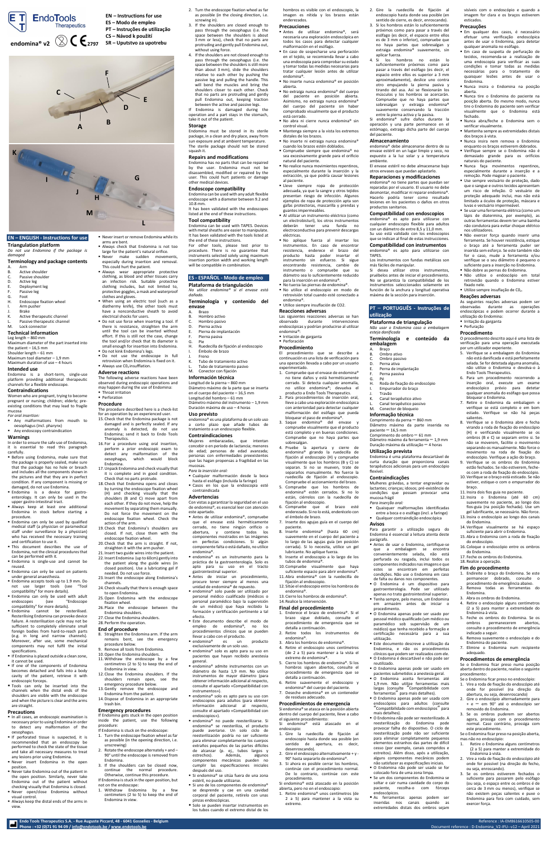**Endo Tools Therapeutics S.A. - Rue Auguste Piccard, 48 - 6041 Gosselies - Belgium** Reference : IA-EM8616610505-00

# **EN – ENGLISH - Instructions for use**

**Triangulation platform** *Do not use Endomina if the package is damaged*

# **Terminology and package contents**

- A. Arm B. Active shoulder
- C. Passive shoulder
- D. Active leg
- E. Deployment leg
- F. Passive leg
- G. Foot
- H. Endoscope fixation wheel I. Arm pusher
- J. Brake
- K. Active therapeutic channel L. Passive therapeutic channel
- M. Lock connector

# **Technical information**

Leg length – 860 mm Maximum diameter of the part inserted into the patient – 16,5 mm Shoulder length – 61 mm Maximum tool diameter – 1,9 mm

# Maximum duration of use – 4 hours **Intended use**

Endomina is a short-term, single-use platform providing additional therapeutic channels for a flexible endoscope.

# **Contraindications**

Women who are pregnant, trying to become pregnant or nursing; children; elderly; preexisting conditions that may lead to fragile mucosa

- *For oral insertion:* ▪ Any malformations from mouth to
- oesophagus (incl. pharynx) ■ Any endoscopy contraindication
- **Warnings**
- 
- In order to ensure the safe use of Endomina, it is essential to read this paragraph carefully.
- **Before using Endomina, make sure that** the package is properly sealed, make sure that the package has no hole or breach and includes all the components shown in the pictures and that they are in perfect condition. If any component is missing or
- damaged, do not use Endomina. ■ Endomina is a device for gastroenterology. It can only be used in the upper gastro-intestinal tract. ▪ Always keep at least one additional Endomina in stock before starting a procedure. **Endomina can only be used by qualified** medical staff (a physician or paramedical staff under surveillance by a physician) who has received the necessary training and certification to use it.
- Never insert or remove Endomina while its arms are bent.
- **E** Always check that Endomina is not too large for the patient's natural orifice.
- **E** Never make sudden movements especially during insertion and removal.
- This could hurt the patient. **E** Always wear appropriate protective clothing, as blood and other tissues carry an infection risk. Suitable protective clothing includes, but not limited to, protective goggles, a mask and waterproof
- clothes and gloves. ■ When using an electric tool (such as a diathermy knife), the other tools must have a nonconductive sheath to avoid electrical shocks for users.
- **Do not use force when inserting a tool. If** there is resistance, straighten the arm until the tool can be inserted without effort. If this is still not the case, change the tool and/or check that its diameter is small enough for insertion into Endomina.
- Do not kink Endomina's legs.
- **Do not use the endoscope in full** retrovision when Endomina is fixed on it.
- $\blacksquare$  Always use CO<sub>2</sub> insufflation.

- In all cases, an endoscopic examination is necessary prior to using Endomina in order to detect any malformation of the oesophagus.
- **If perforated tissue is suspected, it is** recommended that an endoscopy be performed to check the state of the tissue and take all necessary measures to treat any lesions prior using Endomina.
- Never insert Endomina in the open position.
- Never take Endomina out of the patient in the open position. Similarly, never take Endomina out of the patient without checking visually that Endomina is closed.
- Never open/close Endomina without visual control.

Phone : +32 (0)71 91 94 09 [/ info@endotools.be](mailto:info@endotools.be) [/ www.endotools.be](http://www.endotools.be/)

■ Always keep the distal ends of the arms in view.

The following adverse reactions have been observed during endoscopic operations and may happen during the use of Endomina: **Throat irritation** 

■ Perforation

- This document describes the use of Endomina, not the clinical procedures that can be performed with it.
- Endomina is single-use and cannot be reused.
- **Endomina can only be used on patients** under general anaesthesia.
- Endomina accepts tools up to 1.9 mm. Do not use larger tools (see "Tool compatibility" for more details).
- **Endomina can only be used with adult** endoscopes (see "Endoscope compatibility" for more details).
- Endomina cannot be resterilised. Resterilising Endomina can provoke device failure. A resterilisation cycle may not be sufficient to completely eliminate small foreign bodies from hard-to-reach parts (e.g. in long and narrow channels). Moreover, after use, some mechanical components may not fulfil the initial specifications.
- **EXEC** If Endomina is placed outside a clean zone, it cannot be used.
- If one of the components of Endomina becomes detached and falls into a body cavity of the patient, retrieve it with endoscopic forceps.
- **Tools can only be inserted into the** channels when the distal ends of the shoulders are visible with the endoscope and when the picture is clear and the arms are straight.

### **Precautions**

# **Adverse reactions**

# **Procedure**

The procedure described here is a check-list for an operation by an experienced user.

- 15. Check that the Endomina package is not damaged and is perfectly sealed. If any anomaly is detected, do not use Endomina; send it back to Endo Tools Therapeutics.
- 16. For a procedure using oral insertion, perform a prior endoscopic exam to detect any malformation of the oesophagus, which would block Endomina.
- 17. Unpack Endomina and check visually that it is complete and in good condition. Check that no parts protrude.
- 18. Check that Endomina opens and closes by turning the endoscope fixation wheel (H) and checking visually that the
- shoulders (B and C) move apart from each other. If they do not move, help the movement by separating them manually. Do not force the movement on the endoscope fixation wheel. Check the action of the arm.
- 19. Check that Endomina's shoulders are closed. If not, close them with the endoscope fixation wheel.
- 20. Check that the arm is straight. If not, straighten it with the arm pusher.
- 21. Insert two guide wires into the patient. 22. Insert Endomina (up to 60cm) gently into the patient along the guide wires (in closed position). Use a lubricating gel if needed. Do not use force.
- 23. Insert the endoscope along Endomina's channels.
- 24. Check visually that there is enough space to open Endomina.
- 25.Open Endomina with the endoscope fixation wheel. 26. Place the endoscope between the
- Endomina shoulders. 27. Close the Endomina shoulders.
- 28. Perform the operation.
- Antes de utilizar endomina®, compruebe que el envase está herméticamente cerrado, no tiene ningún orificio o abertura, y contiene todos los componentes mostrados en las imágenes en perfectas condiciones. Si algún componente falta o está dañado, no utilice endomina®.
- endomina® es un instrumento para la práctica de la gastroenterología. Solo es apto para su uso en el tracto gastrointestinal superior.
- Antes de iniciar un procedimiento, procure tener siempre al menos una unidad de endomina® de repuesto.
- endomina® solo puede ser utilizado por personal médico cualificado (médicos o personal paramédico bajo la supervisión de un médico) que haya recibido la formación y certificación pertinente a tal efecto.
- Este documento describe el modo de empleo de endomina®, no los procedimientos clínicos que se pueden llevar a cabo con el producto.
- endomina® es un producto exclusivamente de un solo uso.
- endomina® solo es apto para su uso en pacientes que hayan recibido anestesia general.
- endomina® admite instrumentos con un diámetro de hasta 1,9 mm. No utilice instrumentos de mayor diámetro (para obtener información adicional al respecto, consulte el apartado «Compatibilidad con instrumentos»).
- endomina® solo es apto para su uso con endoscopios para adultos (para obtener información adicional al respecto, consulte el apartado «Compatibilidad con endoscopios»).
- endomina® no puede reesterilizarse. Si endomina® se reesteriliza, el producto puede averiarse. Un solo ciclo de reesterilización podría no ser suficiente para eliminar completamente los cuerpos extraños pequeños de las partes difíciles de alcanzar (p. ej., tubos largos y estrechos). Además, algunos componentes mecánicos pueden no cumplir las especificaciones iniciales después del uso.
- Si endomina® se sitúa fuera de una zona estéril, no puede utilizarse.
- Si uno de los componentes de endomina® se desprende y cae en una cavidad corporal del paciente, retírelo con unas pinzas endoscópicas.
- Solo se pueden insertar instrumentos en los tubos cuando el extremo distal de los

### **End of procedure**

- 8. Straighten the Endomina arm. If the arm remains bent, see the emergency procedure below.
- 9. Remove all tools from Endomina.
- 10.Open the Endomina shoulders. 11. Withdraw the endoscope by a few
- centimetres (2 to 5) to keep the end of Endomina in view.
- 12. Close the Endomina shoulders. If the shoulders remain open, see the emergency procedure below.
- 13. Gently remove the endoscope and Endomina from the patient.
- 14. Dispose of Endomina in an appropriate trash bin.

### **Emergency procedures**

If Endomina gets stuck in the open position inside the patient, use the following procedure:

If Endomina is stuck on the endoscope:

- 1. Turn the endoscope fixation wheel as far as possible (in the opening direction, i.e. unscrewing)
- 2. Rotate the endoscope alternately + and 90° until the endoscope is removed from Endomina.
- 3. If the shoulders can be closed now, continue the normal procedure. Otherwise, continue this procedure.
- If Endomina is stuck in the open position, but not on the endoscope:
- 1. Withdraw Endomina by a few centimeters (2 to 5) to keep the end of Endomina in view.

2. Turn the endoscope fixation wheel as far as possible (in the closing direction, i.e. screwing in).

space between the shoulders is about 3 mm or less), check that no parts are protruding and gently pull Endomina out,

> 1. Compruebe que el envase de endomina® no tiene daños y está herméticamente cerrado. Si detecta cualquier anomalía, no utilice endomina®; devuelva el producto a Endo Tools Therapeutics. 2. Para procedimientos de inserción oral, lleve a cabo una exploración endoscópica con anterioridad para detectar cualquier malformación del esófago que pueda bloquear el paso de endomina®. 3. Saque endomina® del envase y compruebe visualmente que el producto está completo y en buenas condiciones. Compruebe que no haya partes que

without using force.

4. If the shoulders are not closed enough to pass through the oesophagus (i.e. the space between the shoulders is still more than about 3 mm), slide the shoulders relative to each other by pushing the passive leg and pulling the handle. This will bend the muscles and bring the shoulders closer to each other. Check that no parts are protruding and gently pull Endomina out, keeping traction between the active and passive legs. If Endomina is damaged during the operation and a part stays in the stomach,

take it out of the patient.

**Storage**

Endomina must be stored in its sterile package, in a clean and dry place, away from sun exposure and at ambient temperature. The sterile package should not be stored

squash it.

**Repairs and modifications**

Endomina has no parts that can be repaired by the user. Endomina must not be disassembled, modified or repaired by the user. This could hurt patients or damage

other medical devices. **Endoscope compatibility**

Endomina can be used with any adult flexible endoscope with a diameter between 9.2 and

10.8 mm.

It has been validated with the endoscopes listed at the end of these instructions.

**Tool compatibility**

Endomina can be used with TAPES. Devices with metal sheaths are easier to manipulate. It has been validated with the tools listed at

the end of these instructions.

For other tools, please test prior to procedure. There is no guarantee that instruments selected solely using maximum insertion portion width and working length will be compatible in combination.

**ES - ESPAÑOL - Modo de empleo Plataforma de triangulación** *No utilice endomina® si el envase está* 

*dañado.*

**Terminología y contenido del** 

**envase** A. Brazo B. Hombro activo C. Hombro pasivo

- D. Pierna activa
- E. Pierna de implantación F. Pierna pasiva
- G. Pie
- H. Ruedecilla de fijación al endoscopio
- Émbolo de brazo
- J. Freno
- K. Tubo de tratamiento activo
- L. Tubo de tratamiento pasivo
- M. Conector con fijación

# **Información técnica**

Longitud de la pierna – 860 mm Diámetro máximo de la parte que se inserta en el cuerpo del paciente – 16,5 mm Longitud del hombro – 61 mm Diámetro máximo del instrumento – 1,9 mm Duración máxima de uso – 4 horas

### **Uso previsto**

endomina® es una plataforma de un solo uso a corto plazo que añade tubos de tratamiento a un endoscopio flexible.

# **Contraindicaciones**

Mujeres embarazadas, que intentan concebir o en período de lactancia; menores de edad; personas de edad avanzada; personas con enfermedades preexistentes que las hagan propensas a fragilidad en las mucosas.

Canal terapêutico ativo Canal terapêutico passivo M. Conector de bloqueio **Informação técnica** Comprimento da perna – 860 mm Diâmetro máximo da parte inserida no

- *Para la inserción oral:* ▪ Cualquier malformación desde la boca hasta el esófago (incluida la faringe)
- Casos en los que la endoscopia esté contraindicada
- 

### **Advertencias**

Con vistas a garantizar la seguridad en el uso de endomina®, es esencial leer con atención este apartado.

- 3. If the shoulders are closed enough to pass through the oesophagus (i.e. the enderezados.
	- Antes de utilizar endomina®, será malformación en el esófago.
	- en el tejido, se recomienda llevar a cabo una endoscopia para comprobar su estado y tomar todas las medidas necesarias para tratar cualquier lesión antes de utilizar endomina®.
	- No inserte nunca endomina® en posición abierta.
	-
	- está cerrado. ■ No abra ni cierre nunca endomina® sin control visual.
	- Mantenga siempre a la vista los extremos distales de los brazos.
	- No inserte ni extraiga nunca endomina® cuando los brazos estén doblados.
	- Compruebe siempre que endomina® no
	- natural del paciente. ■ No realice nunca movimientos repentinos, especialmente durante la inserción y la extracción, ya que podría causar lesiones
	- Lleve siempre ropa de protección adecuada, ya que la sangre y otros tejidos presentan riesgo de infección. Algunos ejemplos de ropa de protección apta son gafas protectoras, mascarilla y prendas y guantes impermeables.
	- Al utilizar un instrumento eléctrico (como un electrobisturí), los otros instrumentos deberán tener una funda no electroconductiva para prevenir descargas eléctricas.
	- No aplique fuerza al insertar los instrumentos. En caso de encontrar resistencia, enderece el brazo del producto hasta poder insertar el instrumento sin esfuerzo. Si sigue encontrando resistencia, cambie de instrumento o compruebe que su diámetro sea lo suficientemente reducido para la inserción en endomina®.
	- No tuerza las piernas de endomina®
	- No utilice el endoscopio en modo de
	- retrovisión total cuando esté conectado a endomina®.
	- Utilice siempre insuflación de CO2.

As ferramentas apenas podem ser inseridas nos canais quando as extremidades distais dos ombros sejam **Em qualquer dos casos, é necessário** efetuar uma verificação endoscópica antes de usar o Endomina, para detetar qualquer anomalia no esófago. ▪ Em caso de suspeita de perfuração de tecidos, recomenda-se a realização de uma endoscopia para verificar as suas condições e tomar todas as medidas necessárias para o tratamento de quaisquer lesões antes de usar o

■ Nunca faca movimentos repentinos. especialmente durante a inserção e a remoção. Pode magoar o paciente. ▪ Use sempre vestuário de proteção, dado que o sangue e outros tecidos apresentam um risco de infeção. O vestuário de proteção adequado inclui, mas não está limitado a óculos de proteção, máscara e

### **Precauciones**

- necesaria una exploración endoscópica en todos los casos para detectar cualquier
- **En caso de sospecharse una perforación**
- 
- No extraiga nunca endomina® del cuerpo del paciente en posición abierta. Asimismo, no extraiga nunca endomina<sup>®</sup> del cuerpo del paciente sin haber
- comprobado visualmente que el producto
- 
- 
- sea excesivamente grande para el orificio
- al paciente.
- 
- 

### **Reacciones adversas**

Las siguientes reacciones adversas se han observado durante intervenciones endoscópicas y podrían producirse al utilizar

endomina®:

▪ Irritación de garganta ■ Perforación **Procedimiento**

El procedimiento que se describe a continuación es una lista de verificación para una operación llevada a cabo por un usuario

experimentado.

hombros es visible con el endoscopio, la imagen es nítida y los brazos están 2. Gire la ruedecilla de fijación al endoscopio hasta donde sea posible (en sentido de cierre, es decir, enroscando).

sobresalgan.

4. Pruebe la apertura y cierre de endomina® girando la ruedecilla de fijación al endoscopio (H) y compruebe visualmente que los hombros (B y C) se separan. Si no se mueven, trate de separarlos manualmente. No fuerce la ruedecilla de fijación al endoscopio. Compruebe el accionamiento del brazo. 5. Compruebe que los hombros de

endomina® estén cerrados. Si no lo están, ciérrelos con la ruedecilla de fijación al endoscopio.

6. Compruebe que el brazo esté enderezado. Si no lo está, enderécelo con el émbolo de brazo.

- 7. Inserte dos agujas guía en el cuerpo del paciente.
- 8. Inserte endomina® (hasta 60 cm) suavemente en el cuerpo del paciente a lo largo de las agujas guía (en posición cerrada). Si lo necesita, utilice un gel lubricante. No aplique fuerza.
- 9. Inserte el endoscopio a lo largo de los tubos de endomina®.
- 10. Compruebe visualmente que haya suficiente espacio para abrir endomina®.
- 11. Abra endomina® con la ruedecilla de fijación al endoscopio.
- 12. Sitúe el endoscopio entre los hombros de endomina®. 13. Cierre los hombros de endomina®.
- 14. Realice la intervención.

### **Final del procedimiento**

- 1. Enderece el brazo de endomina®. Si el brazo sigue doblado, consulte el procedimiento de emergencia que se detalla a continuación.
- 2. Retire todos los instrumentos de endomina®.
- 3. Abra los hombros de endomina®.
- 4. Retire el endoscopio unos centímetros (de 2 a 5) para mantener a la vista el extremo de endomina®. 5. Cierre los hombros de endomina®. Si los hombros siguen abiertos, consulte el procedimiento de emergencia que se
- detalla a continuación. 6. Retire suavemente el endoscopio y
- endomina® del cuerpo del paciente. 7. Deseche endomina® en un contenedor
- de residuos adecuado.

# **Procedimientos de emergencia**

Si endomina® se atasca en la posición abierta dentro del cuerpo del paciente, lleve a cabo el siguiente procedimiento: Si endomina® está atascado en el

- endoscopio: 1. Gire la ruedecilla de fijación al endoscopio hasta donde sea posible (en
- sentido de apertura, es decir, desenroscando). 2. Gire el endoscopio alternativamente + y -
- 90° hasta separarlo de endomina®. 3. Si ahora es posible cerrar los hombros, continúe con el procedimiento normal. De lo contrario, continúe con este
- procedimiento. Si endomina® está atascado en la posición abierta, pero no en el endoscopio:
- 1. Retire endomina® unos centímetros (de 2 a 5) para mantener a la vista su extremo.

3. Si los hombros están lo suficientemente próximos como para pasar a través del esófago (es decir, el espacio entre ellos es de 3 mm o inferior), compruebe que no haya partes que sobresalgan y extraiga endomina® suavemente, sin

aplicar fuerza.

4. Si los hombros no están lo suficientemente próximos como para pasar a través del esófago (es decir, el espacio entre ellos es superior a 3 mm aproximadamente), deslice uno contra otro empujando la pierna pasiva y tirando del asa. Así se flexionarán los músculos y los hombros se acercarán. Compruebe que no haya partes que sobresalgan y extraiga endomina® suavemente conservando la tracción entre la pierna activa y la pasiva. Si endomina® sufre daños durante la operación y una parte permanece en el estómago, extraiga dicha parte del cuerpo

del paciente. **Almacenamiento**

endomina® debe almacenarse dentro de su envase estéril en un lugar limpio y seco, no expuesto a la luz solar y a temperatura

ambiente.

El envase estéril no debe almacenarse bajo otros envases que puedan aplastarlo. **Reparaciones y modificaciones** endomina® no tiene partes que puedan ser reparadas por el usuario. El usuario no debe desmontar, modificar ni reparar endomina®. Hacerlo podría tener como resultado lesiones en los pacientes o daños en otros

productos sanitarios.

**Compatibilidad con endoscopios** endomina® es apto para utilizarse con cualquier endoscopio flexible para adultos con un diámetro de entre 8,5 y 11,0 mm. Su uso está validado con los endoscopios que se indican al final de estas instrucciones. **Compatibilidad con instrumentos** endomina® es apto para utilizarse con

TAPES.

Los instrumentos con fundas metálicas son

más fáciles de manipular.

Si desea utilizar otros instrumentos, pruébelos antes de iniciar el procedimiento. No se garantiza la compatibilidad de los instrumentos seleccionados solamente en función de la anchura y longitud operativa máxima de la sección para inserción.

**PT** – **PORTUGUÊS - Instruções de** 

**utilização**

**Plataforma de triangulação** *Não usar o Endomina caso a embalagem* 

> Perna de implantação Perna passiva

*esteja danificada*

**Terminologia e conteúdo da** 

**embalagem Braço** Ombro ativo Ombro passivo D. Perna ativa

G. Pé

**Travão** 

paciente  $-16,5$  mm

H. Roda de fixação do endoscópio I. Empurrador do braço

Comprimento do ombro – 61 mm Diâmetro máximo da ferramenta – 1,9 mm Duração máxima da utilização – 4 horas

**Utilização prevista**

Endomina é uma plataforma descartável de curta duração que proporciona canais terapêuticos adicionais para um endoscópio

flexível.

**Contraindicações**

Mulheres grávidas, a tentar engravidar ou lactantes; crianças; idosos; pré-existência de condições que possam provocar uma

- mucosa frágil *Para inserção oral:*
- Quaisquer malformações identificadas entre a boca e o esófago (incl. a faringe)

▪ Qualquer contraindição endoscópica

### **Avisos**

- Para garantir a utilização segura do Endomina é essencial a leitura atenta deste parágrafo.
- Antes de usar o Endomina, certifique-se que a embalagem se encontra convenientemente selada, não está perfurada ou rasgada, inclui todos os componentes indicados nas imagens e que estes se encontram em perfeitas condições. Não use o Endomina em caso de falta ou danos nos componentes.
- O Endomina é um dispositivo para gastroenterologia. Pode ser utilizado apenas no trato gastrointestinal superior.
- Tenha sempre, pelo menos, um Endomina em armazém antes de iniciar o procedimento.
- O Endomina apenas pode ser usado por pessoal médico qualificado (um médico ou paramédico sob supervisão de um médico) que tenha recebido a formação e certificação necessária para a sua utilização.
- Este documento descreve a utilização da Endomina, e não os procedimentos clínicos que podem ser realizados com ele.
- O Endomina é descartável e não pode ser reutilizado.
- O Endomina apenas pode ser usado em pacientes submetidos a anestesia geral.
- O Endomina aceita ferramentas até 1,9 mm. Não utilize ferramentas mais largas (consulte "Compatibilidade com ferramentas" para mais detalhes).
- O Endomina apenas pode ser usada com endoscópios para adultos (consulte "Compatibilidade com endoscópios" para mais detalhes).
- O Endomina não pode ser reesterilizado. A reesterilização do Endomina pode provocar falha do dispositivo. O ciclo de reesterilização pode não ser suficiente para eliminar completamente pequenos elementos estranhos das partes de difícil cesso (por exemplo, canais compridos e estreitos). Além disso, após a utilização, alguns componentes mecânicos podem não satisfazer as especificações iniciais.
- O Endomina não pode ser usado se for colocado fora de uma zona limpa.
- Se um dos componentes do Endomina se soltar e cair numa cavidade do corpo do paciente, recolha-o com fórceps endoscópicos.

visíveis com o endoscópio e quando a imagem for clara e os braços estiverem

esticados. **Precauções**

Endomina.

▪ Nunca insira o Endomina na posição

aberta.

▪ Nunca tire o Endomina do paciente na posição aberta. Do mesmo modo, nunca tire o Endomina do paciente sem verificar visualmente que o Endomina está

fechado.

▪ Nunca abra/feche o Endomina sem o

■ Mantenha sempre as extremidades distais

verificar visualmente.

dos braços à vista.

▪ Nunca insira nem remova o Endomina enquanto os braços estiverem dobrados. ▪ Verifique sempre se o Endomina não é demasiado grande para os orifícios

naturais do paciente.

luvas e vestuário impermeável. ■ Se usar uma ferramenta elétrica (como um lápis de diatermina, por exemplo), as outras ferramentas devem ter uma bainha não condutora para evitar choque elétrico

■ Utilize sempre insuflação de CO2.

nos utilizadores.

▪ Não exercer força quando inserir uma ferramenta. Se houver resistência, estique o braço até a ferramenta puder ser inserida sem esforço. Se este também não for o caso, mude a ferramenta e/ou verifique se o seu diâmetro é pequeno o suficiente para a inserção no Endomina. ▪ Não dobre as pernas do Endomina. ▪ Não utilize o endoscópio em total retrovisão quando o Endomina estiver

fixado nele.

**Reações adversas**

As seguintes reações adversas podem ser observadas durante as operações endoscópicas e podem ocorrer durante a

utilização do Endomina: ▪ Irritação da garganta ▪ Perfuração **Procedimento**

O procedimento descrito aqui é uma lista de verificação para uma operação executada

por um utilizador experiente.

5. Verifique se a embalagem do Endomina não está danificada e está perfeitamente selada. Se for detetada alguma anomalia, não utilize o Endomina e devolva-o à

Endo Tools Therapeutics.

6. Para um procedimento recorrendo a inserção oral, execute um exame endoscópico prévio para detetar qualquer anomalia do esófago que possa

bloquear o Endomina.

7. Retire o Endomina da embalagem e verifique se está completo e em bom estado. Verifique se não há peças

salientes.

8. Verifique se o Endomina abre e fecha virando a roda de fixação do endoscópio (H) e verificando visualmente se os ombros (B e C) se separam entre si. Se não se moverem, facilite o movimento separando-os manualmente. Não force o movimento na roda de fixação do endoscópio. Verifique a ação do braço. 9. Verifique se os ombros do Endomina estão fechados. Se não estiverem, fecheos com a roda de fixação do endoscópio. 10. Verifique se o braço está esticado. Se não estiver, estique-o com o empurrador do

braço.

11. Insira dois fios guia no paciente. 12. Insira o Endomina (até 60 cm) suavemente no paciente, ao longo dos fios-guia (na posição fechada). Use um gel lubrificante, se necessário. Não force. 13. Insira o endoscópio ao longo dos canais

do Endomina.

14. Verifique visualmente se há espaço suficiente para abrir o Endomina. 15. Abra o Endomina com a roda de fixação

do endoscópio.

16. Coloque o endoscópio entre os ombros

do Endomina.

17. Feche os ombros do Endomina.

18. Realize a operação. **Fim do procedimento**

1. Endireite o braço do Endomina. Se este permanecer dobrado, consulte o procedimento de emergência abaixo. 2. Remova todas as ferramentas do

Endomina.

3. Abra os ombros do Endomina.

4. Retire o endoscópio alguns centímetros (2 a 5) para manter a extremidade do

Endomina à vista.

5. Feche os ombros do Endomina. Se os ombros permanecerem abertos, consulte o procedimento de emergência

indicado a seguir.

6. Remova suavemente o endoscópio e do

Endomina do paciente.

7. Elimine o Endomina num recipiente

adequado.

**Procedimentos de emergência** Se o Endomina ficar preso numa posição aberta dentro do paciente, realize o seguinte

procedimento:

Se o Endomina ficar preso no endoscópio: 1. Vire a roda de fixação do endoscópio até onde for possível (na direção da abertura, ou seja, desenroscando) 2. Gire o endoscópio alternadamente para + e – em 90° até o endoscópio ser

removido do Endomina.

3. Se os ombros puderem ser abertos agora, prossiga com o procedimento normal. Caso contrário, prossiga com

este procedimento.

Se o Endomina ficar preso na posição aberta,

mas não no endoscópio:

1. Retire o Endomina alguns centímetros (2 a 5) para manter a extremidade do

Endomina à vista.

2. Vire a roda de fixação do endoscópio até onde for possível (na direção do fecho,

ou seja, enroscando).

3. Se os ombros estiverem fechados o suficiente para passarem pelo esófago (ou seja, o espaço entre os ombros é de cerca de 3 mm ou menos), verifique se não existem peças salientes e puxe o Endomina para fora com cuidado, sem

exercer força.





**EN – Instructions for use ES – Modo de empleo PT – Instruções de utilização CS – Návod k použití 2797 SR – Uputstvo za upotrebu**